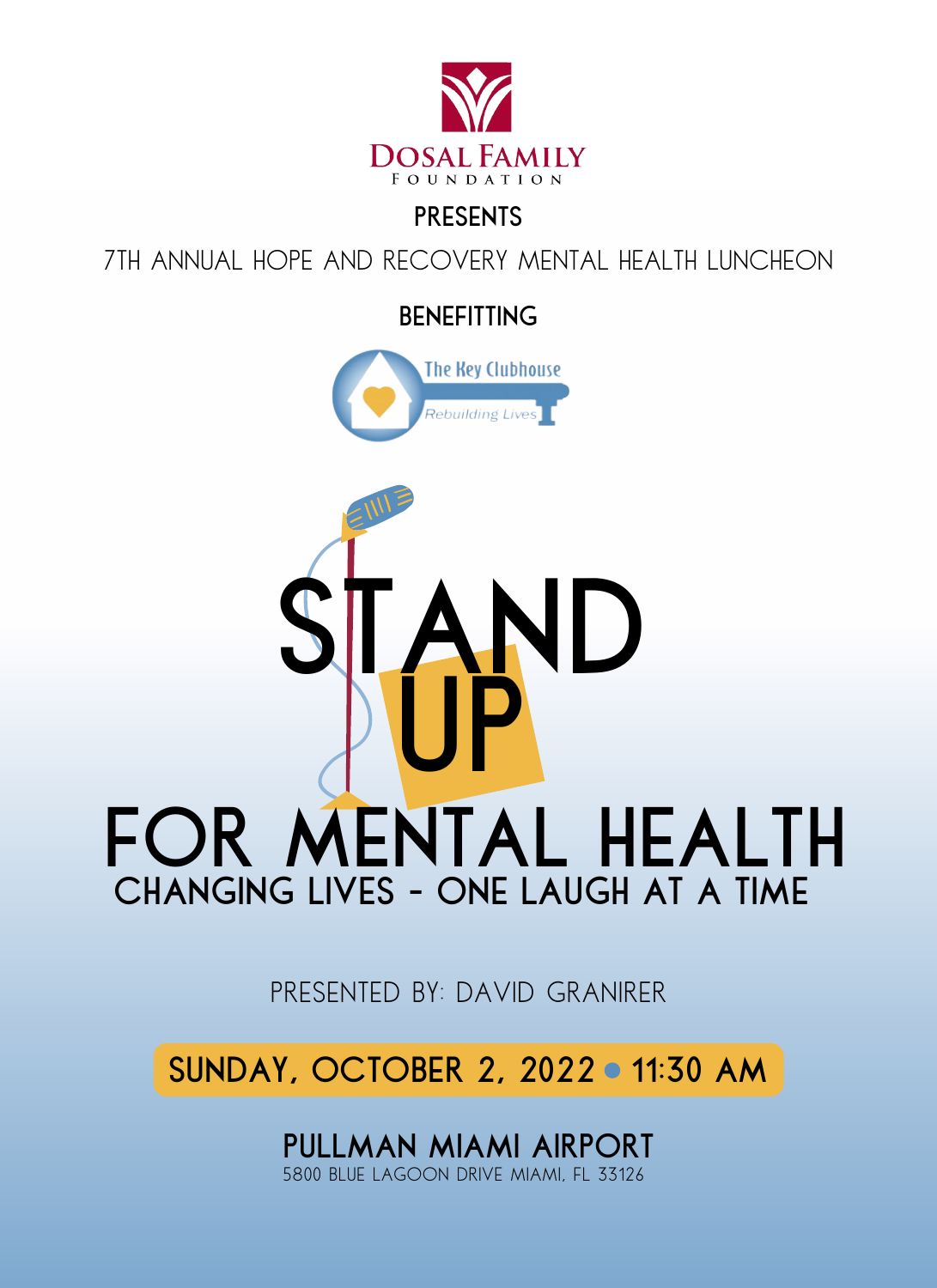

# **PRESENTS**

7th Annual hope and recovery mental health luncheon

**benefitting**





PRESENTED BY: DAVID GRANIRER

**SUNDAY, OCTOBER 2, 2022 11:30 am**

**PULLMAN MIAMI AIRPORT** 5800 BLUE LAGOON DRIVE MIAMI, FL 33126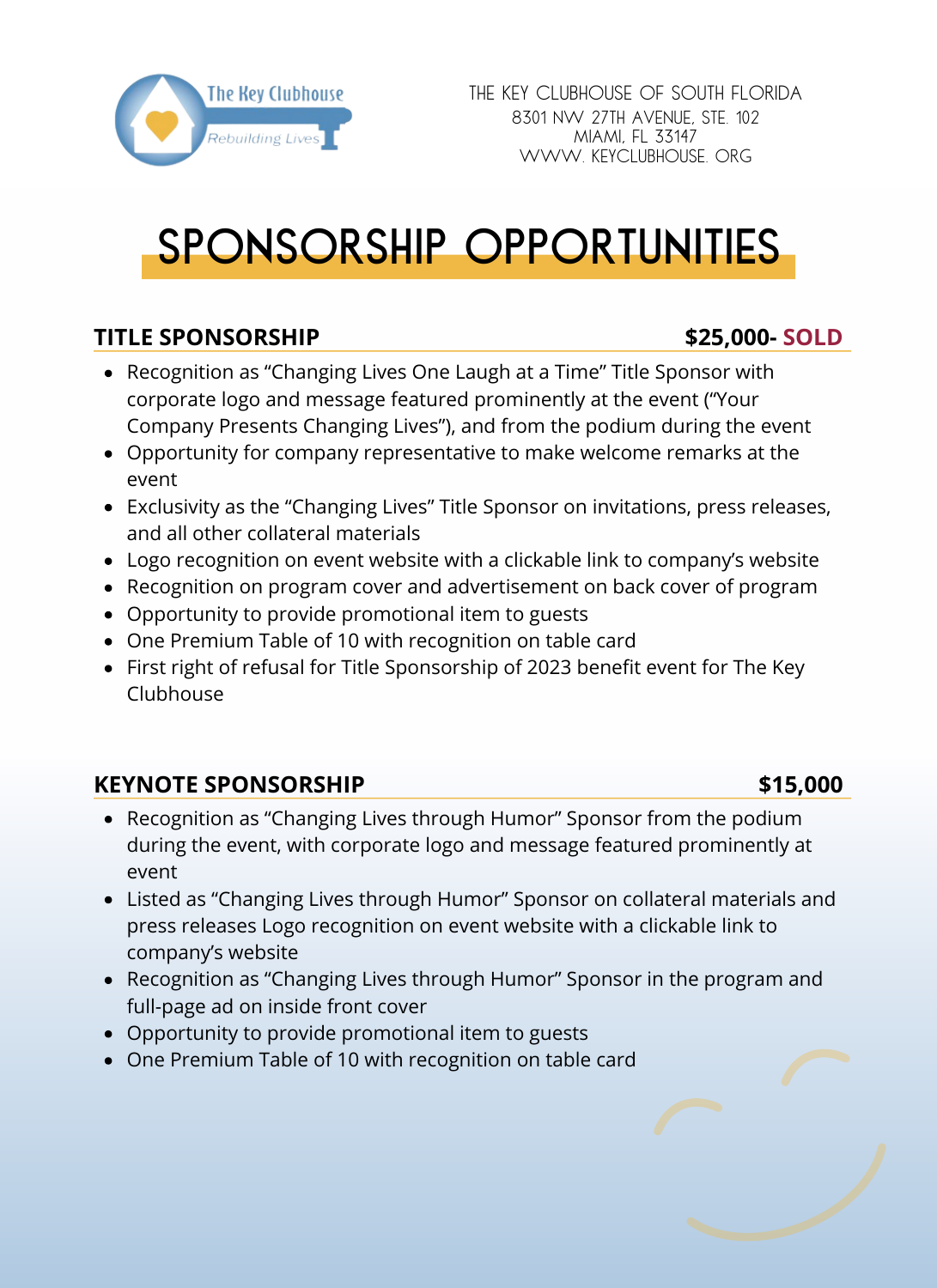

# **sponsorship opportunities**

## **TITLE SPONSORSHIP \$25,000- SOLD**

- Recognition as "Changing Lives One Laugh at a Time" Title Sponsor with corporate logo and message featured prominently at the event ("Your Company Presents Changing Lives"), and from the podium during the event
- Opportunity for company representative to make welcome remarks at the event
- Exclusivity as the "Changing Lives" Title Sponsor on invitations, press releases, and all other collateral materials
- Logo recognition on event website with a clickable link to company's website
- Recognition on program cover and advertisement on back cover of program
- Opportunity to provide promotional item to guests
- One Premium Table of 10 with recognition on table card
- First right of refusal for Title Sponsorship of 2023 benefit event for The Key Clubhouse

## **KEYNOTE SPONSORSHIP \$15,000**

- Recognition as "Changing Lives through Humor" Sponsor from the podium during the event, with corporate logo and message featured prominently at event
- Listed as "Changing Lives through Humor" Sponsor on collateral materials and press releases Logo recognition on event website with a clickable link to company's website
- Recognition as "Changing Lives through Humor" Sponsor in the program and full-page ad on inside front cover
- Opportunity to provide promotional item to guests
- One Premium Table of 10 with recognition on table card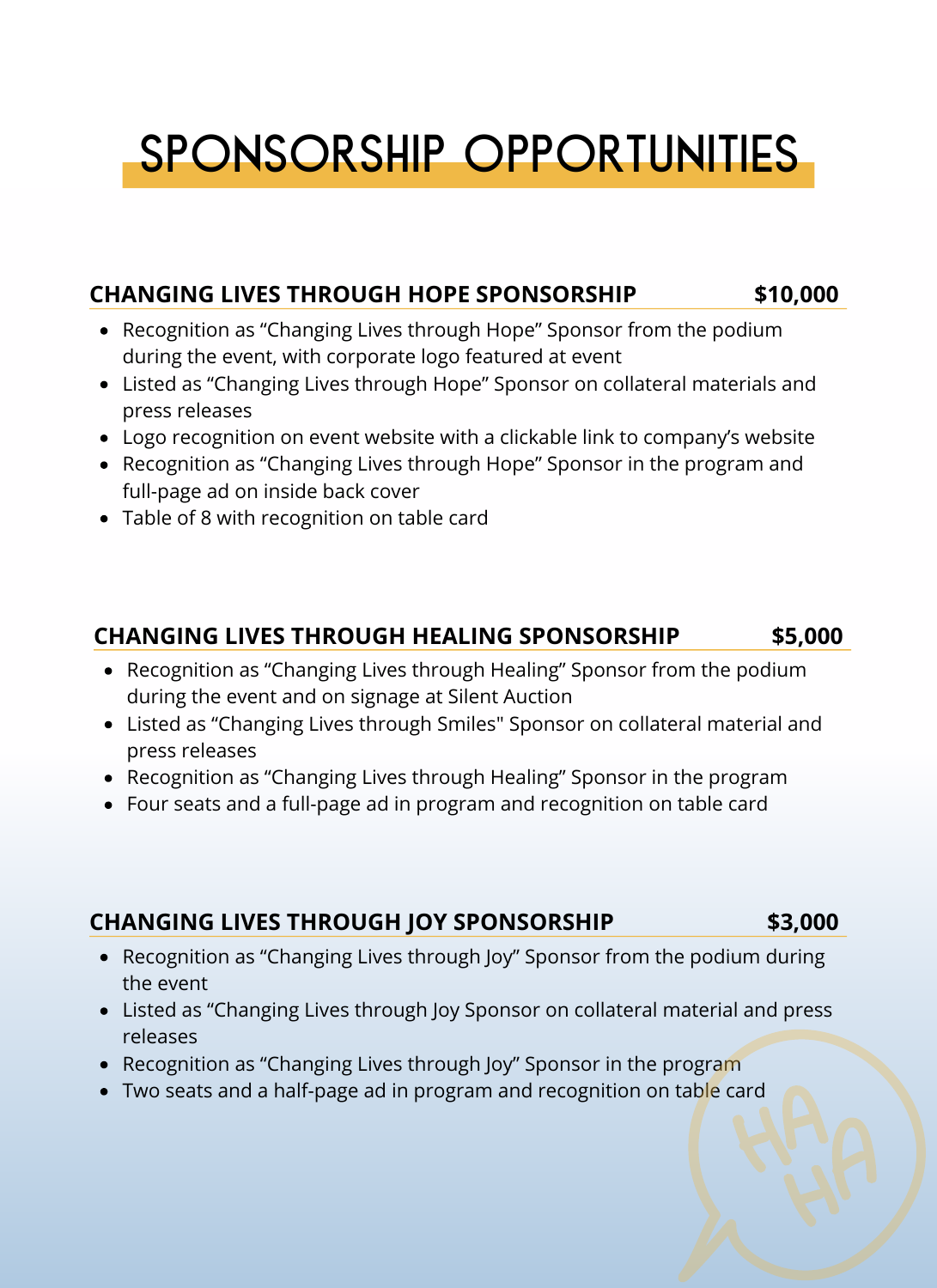# **sponsorship opportunities**

#### **CHANGING LIVES THROUGH HOPE SPONSORSHIP \$10,000**

- Recognition as "Changing Lives through Hope" Sponsor from the podium during the event, with corporate logo featured at event
- Listed as "Changing Lives through Hope" Sponsor on collateral materials and press releases
- Logo recognition on event website with a clickable link to company's website
- Recognition as "Changing Lives through Hope" Sponsor in the program and full-page ad on inside back cover
- Table of 8 with recognition on table card

### **CHANGING LIVES THROUGH HEALING SPONSORSHIP \$5,000**

- Recognition as "Changing Lives through Healing" Sponsor from the podium during the event and on signage at Silent Auction
- Listed as "Changing Lives through Smiles" Sponsor on collateral material and press releases
- Recognition as "Changing Lives through Healing" Sponsor in the program
- Four seats and a full-page ad in program and recognition on table card

### **CHANGING LIVES THROUGH JOY SPONSORSHIP \$3,000**

- Recognition as "Changing Lives through Joy" Sponsor from the podium during the event
- Listed as "Changing Lives through Joy Sponsor on collateral material and press releases
- Recognition as "Changing Lives through Joy" Sponsor in the program
- Two seats and a half-page ad in program and recognition on table card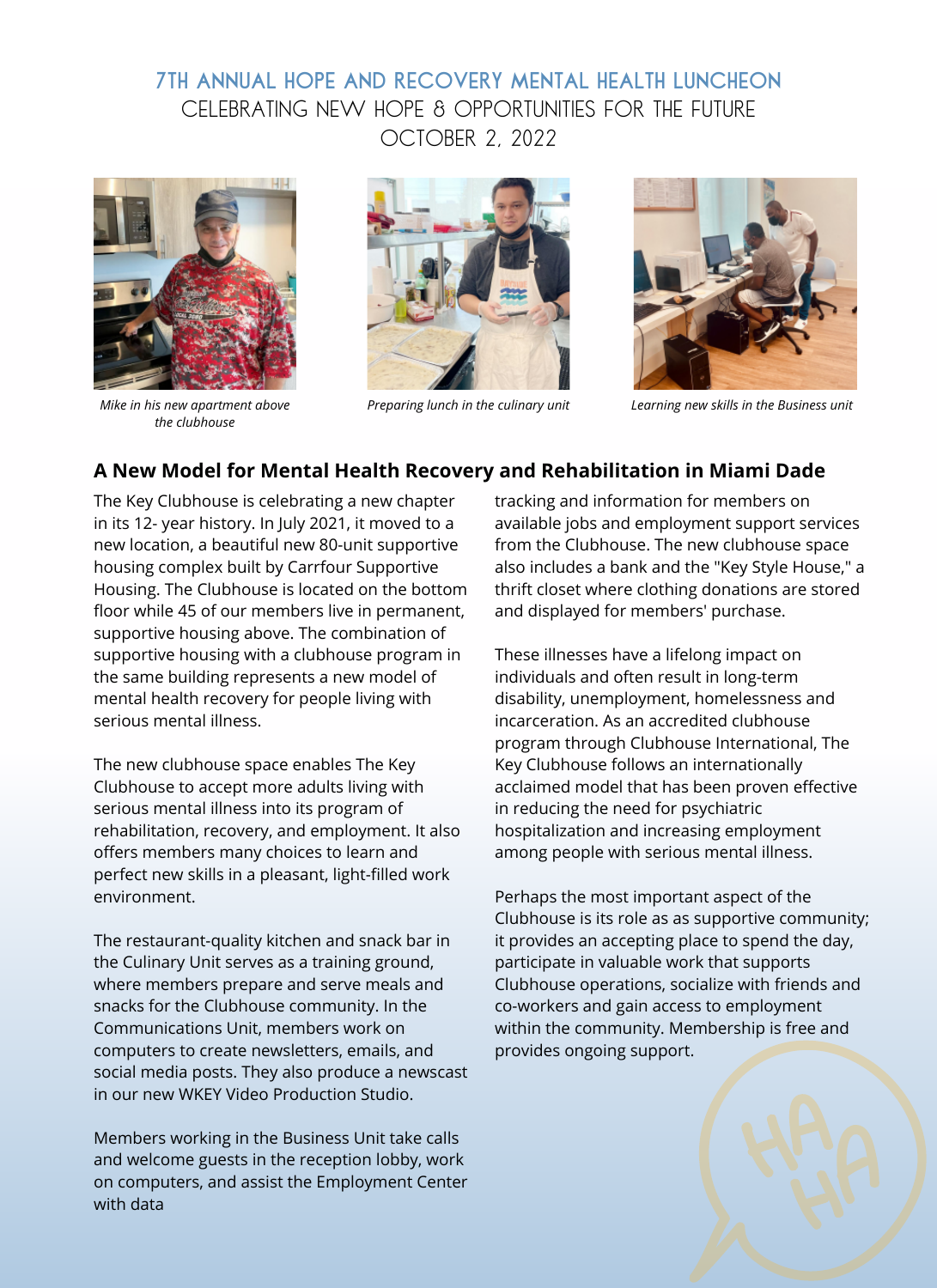#### **7th Annual hope and recovery mental health luncheon** October 2, 2022 CELEBRATING NEW HOPE & OPPORTUNITIES FOR THE FUTURE



*Mike in his new apartment above the clubhouse*





*Preparing lunch in the culinary unit Learning new skills in the Business unit*

#### **A New Model for Mental Health Recovery and Rehabilitation in Miami Dade**

The Key Clubhouse is celebrating a new chapter in its 12- year history. In July 2021, it moved to a new location, a beautiful new 80-unit supportive housing complex built by Carrfour Supportive Housing. The Clubhouse is located on the bottom floor while 45 of our members live in permanent, supportive housing above. The combination of supportive housing with a clubhouse program in the same building represents a new model of mental health recovery for people living with serious mental illness.

The new clubhouse space enables The Key Clubhouse to accept more adults living with serious mental illness into its program of rehabilitation, recovery, and employment. It also offers members many choices to learn and perfect new skills in a pleasant, light-filled work environment.

The restaurant-quality kitchen and snack bar in the Culinary Unit serves as a training ground, where members prepare and serve meals and snacks for the Clubhouse community. In the Communications Unit, members work on computers to create newsletters, emails, and social media posts. They also produce a newscast in our new WKEY Video Production Studio.

Members working in the Business Unit take calls and welcome guests in the reception lobby, work on computers, and assist the Employment Center with data

tracking and information for members on available jobs and employment support services from the Clubhouse. The new clubhouse space also includes a bank and the "Key Style House," a thrift closet where clothing donations are stored and displayed for members' purchase.

These illnesses have a lifelong impact on individuals and often result in long-term disability, unemployment, homelessness and incarceration. As an accredited clubhouse program through Clubhouse International, The Key Clubhouse follows an internationally acclaimed model that has been proven effective in reducing the need for psychiatric hospitalization and increasing employment among people with serious mental illness.

Perhaps the most important aspect of the Clubhouse is its role as as supportive community; it provides an accepting place to spend the day, participate in valuable work that supports Clubhouse operations, socialize with friends and co-workers and gain access to employment within the community. Membership is free and provides ongoing support.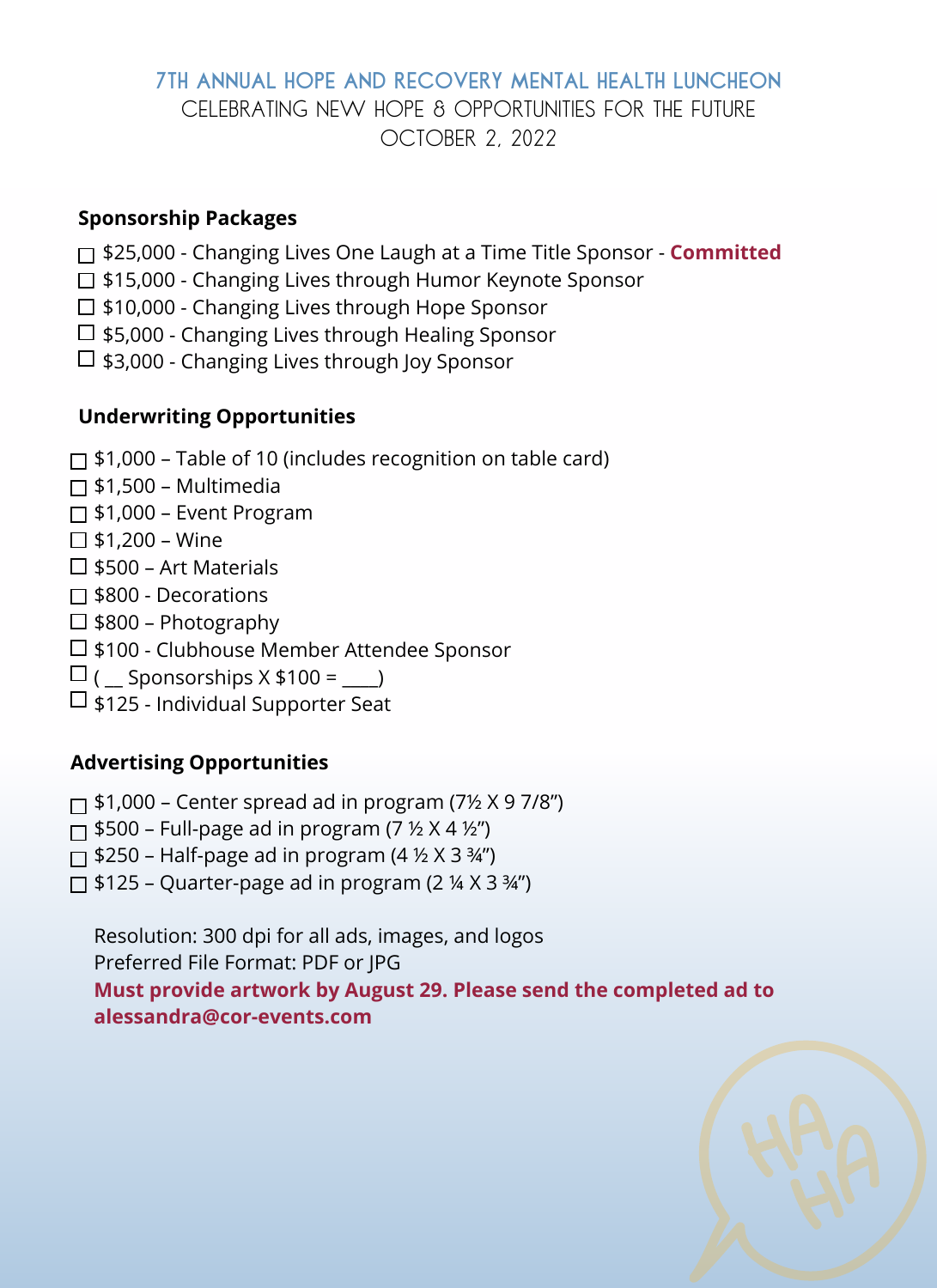#### **7th Annual hope and recovery mental health luncheon** October 2, 2022 CELEBRATING NEW HOPE & OPPORTUNITIES FOR THE FUTURE

#### **Sponsorship Packages**

- \$25,000 Changing Lives One Laugh at a Time Title Sponsor **Committed**
- □ \$15,000 Changing Lives through Humor Keynote Sponsor
- □ \$10,000 Changing Lives through Hope Sponsor
- $\Box$  \$5,000 Changing Lives through Healing Sponsor
- $\Box$  \$3,000 Changing Lives through Joy Sponsor

#### **Underwriting Opportunities**

- $\Box$  \$1,000 Table of 10 (includes recognition on table card)
- $\Box$  \$1,500 Multimedia
- $\Box$  \$1,000 Event Program
- $\Box$  \$1,200 Wine
- $\square$  \$500 Art Materials
- □ \$800 Decorations
- $\Box$  \$800 Photography
- □ \$100 Clubhouse Member Attendee Sponsor
- $\Box$  ( Sponsorships  $X $100 =$  )
- $\Box$  \$125 Individual Supporter Seat

#### **Advertising Opportunities**

- $\Box$  \$1,000 Center spread ad in program (7½  $\times$  9 7/8")
- $\Box$  \$500 Full-page ad in program (7  $\frac{1}{2}$  X 4  $\frac{1}{2}$ )
- $\Box$  \$250 Half-page ad in program (4  $\frac{1}{2}$  X 3  $\frac{3}{4}$ ")
- $\Box$  \$125 Quarter-page ad in program (2  $\frac{1}{4}$  X 3  $\frac{3}{4}$ ")

Resolution: 300 dpi for all ads, images, and logos Preferred File Format: PDF or JPG **Must provide artwork by August 29. Please send the completed ad to alessandra@cor-events.com**